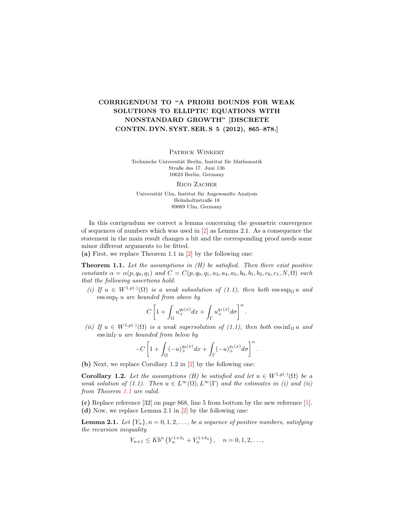## CORRIGENDUM TO "A PRIORI BOUNDS FOR WEAK SOLUTIONS TO ELLIPTIC EQUATIONS WITH NONSTANDARD GROWTH" [DISCRETE CONTIN. DYN. SYST. SER. S 5 (2012), 865–878.]

PATRICK WINKERT

Technische Universität Berlin, Institut für Mathematik Straße des 17. Juni 136 10623 Berlin, Germany

RICO ZACHER

Universität Ulm, Institut für Angewandte Analysis Helmholtzstraße 18 89069 Ulm, Germany

In this corrigendum we correct a lemma concerning the geometric convergence of sequences of numbers which was used in [\[2\]](#page-2-0) as Lemma 2.1. As a consequence the statement in the main result changes a bit and the corresponding proof needs some minor different arguments to be fitted.

(a) First, we replace Theorem 1.1 in [\[2\]](#page-2-0) by the following one:

<span id="page-0-0"></span>**Theorem 1.1.** Let the assumptions in  $(H)$  be satisfied. Then there exist positive constants  $\alpha = \alpha(p, q_0, q_1)$  and  $C = C(p, q_0, q_1, a_3, a_4, a_5, b_0, b_1, b_2, c_0, c_1, N, \Omega)$  such that the following assertions hold.

(i) If  $u \in W^{1,p(\cdot)}(\Omega)$  is a weak subsolution of (1.1), then both  $\operatorname{ess \, sup}_{\Omega} u$  and  $\cos \sup_{\Gamma} u$  are bounded from above by

$$
C\left[1+\int_{\Omega}u_+^{q_0(x)}dx+\int_{\Gamma}u_+^{q_1(x)}d\sigma\right]^{\alpha}.
$$

(ii) If  $u \in W^{1,p(\cdot)}(\Omega)$  is a weak supersolution of (1.1), then both  $\text{ess inf}_{\Omega} u$  and  $\operatorname{ess\,inf}_{\Gamma} u$  are bounded from below by

$$
-C\left[1+\int_{\Omega}(-u)_+^{q_0(x)}dx+\int_{\Gamma}(-u)_+^{q_1(x)}d\sigma\right]^{\alpha}.
$$

(b) Next, we replace Corollary 1.2 in [\[2\]](#page-2-0) by the following one:

**Corollary 1.2.** Let the assumptions (H) be satisfied and let  $u \in W^{1,p(\cdot)}(\Omega)$  be a weak solution of (1.1). Then  $u \in L^{\infty}(\Omega), L^{\infty}(\Gamma)$  and the estimates in (i) and (ii) from Theorem [1.1](#page-0-0) are valid.

(c) Replace reference [32] on page 868, line 5 from bottom by the new reference [\[1\]](#page-2-1). (d) Now, we replace Lemma 2.1 in [\[2\]](#page-2-0) by the following one:

**Lemma 2.1.** Let  $\{Y_n\}, n = 0, 1, 2, \ldots$ , be a sequence of positive numbers, satisfying the recursion inequality

$$
Y_{n+1} \leq Kb^{n} \left( Y_{n}^{1+\delta_{1}} + Y_{n}^{1+\delta_{2}} \right), \quad n = 0, 1, 2, \dots,
$$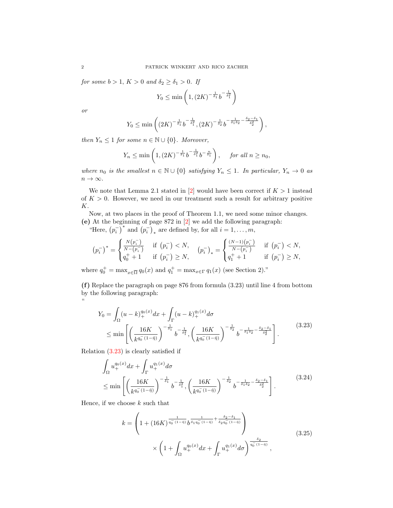for some  $b > 1$ ,  $K > 0$  and  $\delta_2 \ge \delta_1 > 0$ . If

$$
Y_0 \le \min\left(1, \left(2K\right)^{-\frac{1}{\delta_1}} b^{-\frac{1}{\delta_1^2}}\right)
$$

or

"

$$
Y_0 \le \min\left( (2K)^{-\frac{1}{\delta_1}} b^{-\frac{1}{\delta_1^2}}, (2K)^{-\frac{1}{\delta_2}} b^{-\frac{1}{\delta_1 \delta_2} - \frac{\delta_2 - \delta_1}{\delta_2^2}} \right),
$$

then  $Y_n \leq 1$  for some  $n \in \mathbb{N} \cup \{0\}$ . Moreover,

$$
Y_n \le \min\left(1, \left(2K\right)^{-\frac{1}{\delta_1}} b^{-\frac{1}{\delta_1^2}} b^{-\frac{n}{\delta_1}}\right), \quad \text{ for all } n \ge n_0,
$$

where  $n_0$  is the smallest  $n \in \mathbb{N} \cup \{0\}$  satisfying  $Y_n \leq 1$ . In particular,  $Y_n \to 0$  as  $n \to \infty$ .

We note that Lemma 2.1 stated in [\[2\]](#page-2-0) would have been correct if  $K > 1$  instead of  $K > 0$ . However, we need in our treatment such a result for arbitrary positive K.

Now, at two places in the proof of Theorem 1.1, we need some minor changes. (e) At the beginning of page 872 in [\[2\]](#page-2-0) we add the following paragraph:

"Here,  $(p_i^-)^*$  and  $(p_i^-)_*$  are defined by, for all  $i = 1, \ldots, m$ ,

$$
\left(p_i^-\right)^* = \begin{cases} \frac{N(p_i^-)}{N-(p_i^-)} & \text{if } \left(p_i^-\right) < N, \\ q_0^+ + 1 & \text{if } \left(p_i^-\right) \ge N, \end{cases} \quad \left(p_i^-\right)_* = \begin{cases} \frac{(N-1)(p_i^-)}{N-(p_i^-)} & \text{if } \left(p_i^-\right) < N, \\ q_1^+ + 1 & \text{if } \left(p_i^-\right) \ge N, \end{cases}
$$

where  $q_0^+ = \max_{x \in \overline{\Omega}} q_0(x)$  and  $q_1^+ = \max_{x \in \Gamma} q_1(x)$  (see Section 2)."

(f) Replace the paragraph on page 876 from formula (3.23) until line 4 from bottom by the following paragraph:

<span id="page-1-0"></span>
$$
Y_0 = \int_{\Omega} (u - k)_+^{q_0(x)} dx + \int_{\Gamma} (u - k)_+^{q_1(x)} d\sigma
$$
  
 
$$
\leq \min \left[ \left( \frac{16K}{k^{q_0^-(1-\hat{\eta})}} \right)^{-\frac{1}{\delta_1}} b^{-\frac{1}{\delta_1^2}}, \left( \frac{16K}{k^{q_0^-(1-\hat{\eta})}} \right)^{-\frac{1}{\delta_2}} b^{-\frac{1}{\delta_1 \delta_2} - \frac{\delta_2 - \delta_1}{\delta_2^2}} \right].
$$
 (3.23)

Relation [\(3.23\)](#page-1-0) is clearly satisfied if

$$
\int_{\Omega} u_{+}^{q_0(x)} dx + \int_{\Gamma} u_{+}^{q_1(x)} d\sigma
$$
\n
$$
\leq \min \left[ \left( \frac{16K}{k^{q_0^-(1-\hat{\eta})}} \right)^{-\frac{1}{\delta_1}} b^{-\frac{1}{\delta_1^2}}, \left( \frac{16K}{k^{q_0^-(1-\hat{\eta})}} \right)^{-\frac{1}{\delta_2}} b^{-\frac{1}{\delta_1 \delta_2} - \frac{\delta_2 - \delta_1}{\delta_2^2}} \right].
$$
\n(3.24)

Hence, if we choose  $k$  such that

<span id="page-1-2"></span><span id="page-1-1"></span>
$$
k = \left(1 + (16K)^{\frac{1}{q_0^-(1-\hat{\eta})}} b^{\frac{1}{\delta_1 q_0^-(1-\hat{\eta})} + \frac{\delta_2 - \delta_1}{\delta_2 q_0^-(1-\hat{\eta})}}\right) \times \left(1 + \int_{\Omega} u_+^{q_0(x)} dx + \int_{\Gamma} u_+^{q_1(x)} d\sigma\right)^{\frac{\delta_2}{q_0^-(1-\hat{\eta})}},
$$
\n(3.25)